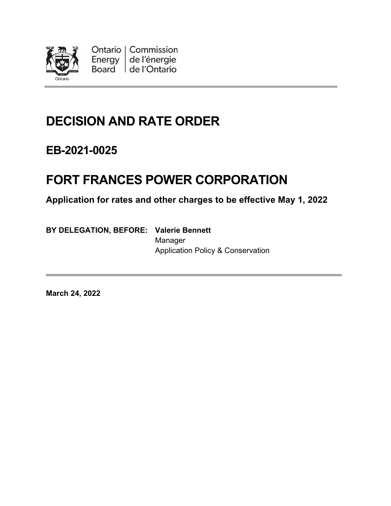

Ontario | Commission Energy de l'énergie Board de l'Ontario

# **DECISION AND RATE ORDER**

## **EB-2021-0025**

# **FORT FRANCES POWER CORPORATION**

**Application for rates and other charges to be effective May 1, 2022**

**BY DELEGATION, BEFORE: Valerie Bennett**

Manager Application Policy & Conservation

**March 24, 2022**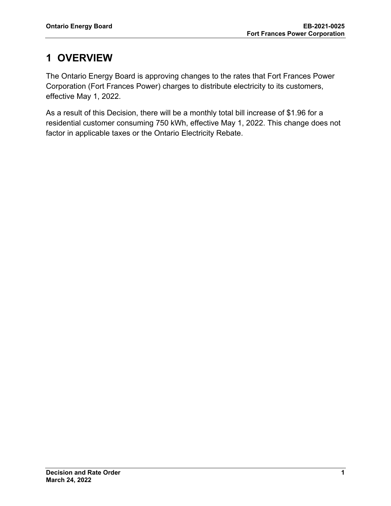## **1 OVERVIEW**

The Ontario Energy Board is approving changes to the rates that Fort Frances Power Corporation (Fort Frances Power) charges to distribute electricity to its customers, effective May 1, 2022.

As a result of this Decision, there will be a monthly total bill increase of \$1.96 for a residential customer consuming 750 kWh, effective May 1, 2022. This change does not factor in applicable taxes or the Ontario Electricity Rebate.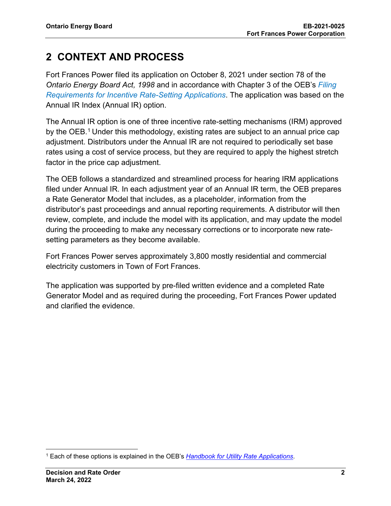## **2 CONTEXT AND PROCESS**

Fort Frances Power filed its application on October 8, 2021 under section 78 of the *Ontario Energy Board Act, 1998* and in accordance with Chapter 3 of the OEB's *Filing Requirements for Incentive Rate-Setting Applications*. The application was based on the Annual IR Index (Annual IR) option.

The Annual IR option is one of three incentive rate-setting mechanisms (IRM) approved by the OEB.<sup>1</sup> Under this methodology, existing rates are subject to an annual price cap adjustment. Distributors under the Annual IR are not required to periodically set base rates using a cost of service process, but they are required to apply the highest stretch factor in the price cap adjustment.

The OEB follows a standardized and streamlined process for hearing IRM applications filed under Annual IR. In each adjustment year of an Annual IR term, the OEB prepares a Rate Generator Model that includes, as a placeholder, information from the distributor's past proceedings and annual reporting requirements. A distributor will then review, complete, and include the model with its application, and may update the model during the proceeding to make any necessary corrections or to incorporate new ratesetting parameters as they become available.

Fort Frances Power serves approximately 3,800 mostly residential and commercial electricity customers in Town of Fort Frances.

The application was supported by pre-filed written evidence and a completed Rate Generator Model and as required during the proceeding, Fort Frances Power updated and clarified the evidence.

<sup>1</sup> Each of these options is explained in the OEB's *Handbook for Utility Rate Applications*.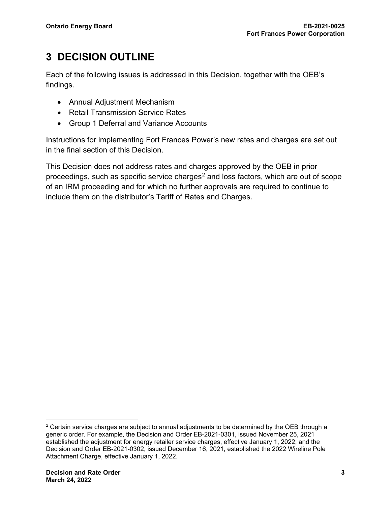## **3 DECISION OUTLINE**

Each of the following issues is addressed in this Decision, together with the OEB's findings.

- Annual Adjustment Mechanism
- Retail Transmission Service Rates
- Group 1 Deferral and Variance Accounts

Instructions for implementing Fort Frances Power's new rates and charges are set out in the final section of this Decision.

This Decision does not address rates and charges approved by the OEB in prior proceedings, such as specific service charges<sup>2</sup> and loss factors, which are out of scope of an IRM proceeding and for which no further approvals are required to continue to include them on the distributor's Tariff of Rates and Charges.

 $2$  Certain service charges are subject to annual adjustments to be determined by the OEB through a generic order. For example, the Decision and Order EB-2021-0301, issued November 25, 2021 established the adjustment for energy retailer service charges, effective January 1, 2022; and the Decision and Order EB-2021-0302, issued December 16, 2021, established the 2022 Wireline Pole Attachment Charge, effective January 1, 2022.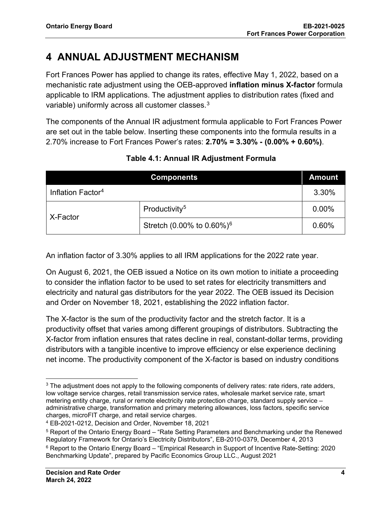## **4 ANNUAL ADJUSTMENT MECHANISM**

Fort Frances Power has applied to change its rates, effective May 1, 2022, based on a mechanistic rate adjustment using the OEB-approved **inflation minus X-factor** formula applicable to IRM applications. The adjustment applies to distribution rates (fixed and variable) uniformly across all customer classes.<sup>3</sup>

The components of the Annual IR adjustment formula applicable to Fort Frances Power are set out in the table below. Inserting these components into the formula results in a 2.70% increase to Fort Frances Power's rates: **2.70% = 3.30% - (0.00% + 0.60%)**.

|                               | <b>Components</b>                         | <b>Amount</b> |
|-------------------------------|-------------------------------------------|---------------|
| Inflation Factor <sup>4</sup> |                                           | 3.30%         |
| X-Factor                      | Productivity <sup>5</sup>                 | 0.00%         |
|                               | Stretch (0.00% to $0.60\%$ ) <sup>6</sup> | 0.60%         |

### **Table 4.1: Annual IR Adjustment Formula**

An inflation factor of 3.30% applies to all IRM applications for the 2022 rate year.

On August 6, 2021, the OEB issued a Notice on its own motion to initiate a proceeding to consider the inflation factor to be used to set rates for electricity transmitters and electricity and natural gas distributors for the year 2022. The OEB issued its Decision and Order on November 18, 2021, establishing the 2022 inflation factor.

The X-factor is the sum of the productivity factor and the stretch factor. It is a productivity offset that varies among different groupings of distributors. Subtracting the X-factor from inflation ensures that rates decline in real, constant-dollar terms, providing distributors with a tangible incentive to improve efficiency or else experience declining net income. The productivity component of the X-factor is based on industry conditions

<sup>&</sup>lt;sup>3</sup> The adjustment does not apply to the following components of delivery rates: rate riders, rate adders, low voltage service charges, retail transmission service rates, wholesale market service rate, smart metering entity charge, rural or remote electricity rate protection charge, standard supply service – administrative charge, transformation and primary metering allowances, loss factors, specific service charges, microFIT charge, and retail service charges.

<sup>4</sup> EB-2021-0212, Decision and Order, November 18, 2021

<sup>5</sup> Report of the Ontario Energy Board – "Rate Setting Parameters and Benchmarking under the Renewed Regulatory Framework for Ontario's Electricity Distributors", EB-2010-0379, December 4, 2013

<sup>6</sup> Report to the Ontario Energy Board – "Empirical Research in Support of Incentive Rate-Setting: 2020 Benchmarking Update", prepared by Pacific Economics Group LLC., August 2021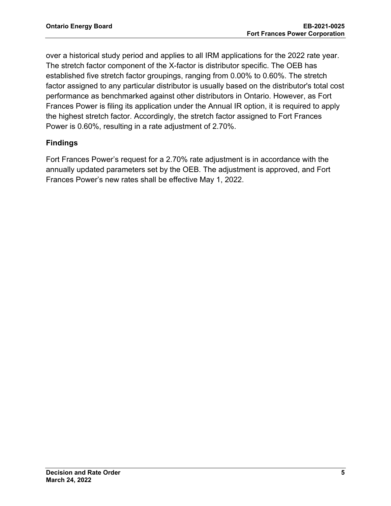over a historical study period and applies to all IRM applications for the 2022 rate year. The stretch factor component of the X-factor is distributor specific. The OEB has established five stretch factor groupings, ranging from 0.00% to 0.60%. The stretch factor assigned to any particular distributor is usually based on the distributor's total cost performance as benchmarked against other distributors in Ontario. However, as Fort Frances Power is filing its application under the Annual IR option, it is required to apply the highest stretch factor. Accordingly, the stretch factor assigned to Fort Frances Power is 0.60%, resulting in a rate adjustment of 2.70%.

### **Findings**

Fort Frances Power's request for a 2.70% rate adjustment is in accordance with the annually updated parameters set by the OEB. The adjustment is approved, and Fort Frances Power's new rates shall be effective May 1, 2022.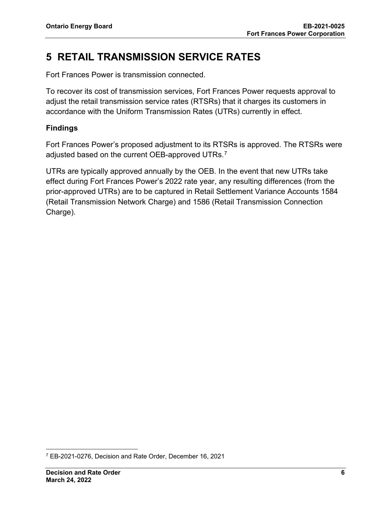## **5 RETAIL TRANSMISSION SERVICE RATES**

Fort Frances Power is transmission connected.

To recover its cost of transmission services, Fort Frances Power requests approval to adjust the retail transmission service rates (RTSRs) that it charges its customers in accordance with the Uniform Transmission Rates (UTRs) currently in effect.

### **Findings**

Fort Frances Power's proposed adjustment to its RTSRs is approved. The RTSRs were adjusted based on the current OEB-approved UTRs. $^7$ 

UTRs are typically approved annually by the OEB. In the event that new UTRs take effect during Fort Frances Power's 2022 rate year, any resulting differences (from the prior-approved UTRs) are to be captured in Retail Settlement Variance Accounts 1584 (Retail Transmission Network Charge) and 1586 (Retail Transmission Connection Charge).

<sup>7</sup> EB-2021-0276, Decision and Rate Order, December 16, 2021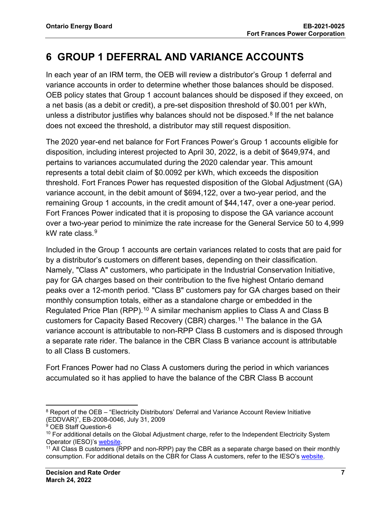## **6 GROUP 1 DEFERRAL AND VARIANCE ACCOUNTS**

In each year of an IRM term, the OEB will review a distributor's Group 1 deferral and variance accounts in order to determine whether those balances should be disposed. OEB policy states that Group 1 account balances should be disposed if they exceed, on a net basis (as a debit or credit), a pre-set disposition threshold of \$0.001 per kWh, unless a distributor justifies why balances should not be disposed.<sup>8</sup> If the net balance does not exceed the threshold, a distributor may still request disposition.

The 2020 year-end net balance for Fort Frances Power's Group 1 accounts eligible for disposition, including interest projected to April 30, 2022, is a debit of \$649,974, and pertains to variances accumulated during the 2020 calendar year. This amount represents a total debit claim of \$0.0092 per kWh, which exceeds the disposition threshold. Fort Frances Power has requested disposition of the Global Adjustment (GA) variance account, in the debit amount of \$694,122, over a two-year period, and the remaining Group 1 accounts, in the credit amount of \$44,147, over a one-year period. Fort Frances Power indicated that it is proposing to dispose the GA variance account over a two-year period to minimize the rate increase for the General Service 50 to 4,999 kW rate class  $9$ 

Included in the Group 1 accounts are certain variances related to costs that are paid for by a distributor's customers on different bases, depending on their classification. Namely, "Class A" customers, who participate in the Industrial Conservation Initiative, pay for GA charges based on their contribution to the five highest Ontario demand peaks over a 12-month period. "Class B" customers pay for GA charges based on their monthly consumption totals, either as a standalone charge or embedded in the Regulated Price Plan (RPP).<sup>10</sup> A similar mechanism applies to Class A and Class B customers for Capacity Based Recovery (CBR) charges.11 The balance in the GA variance account is attributable to non-RPP Class B customers and is disposed through a separate rate rider. The balance in the CBR Class B variance account is attributable to all Class B customers.

Fort Frances Power had no Class A customers during the period in which variances accumulated so it has applied to have the balance of the CBR Class B account

<sup>&</sup>lt;sup>8</sup> Report of the OEB – "Electricity Distributors' Deferral and Variance Account Review Initiative (EDDVAR)", EB-2008-0046, July 31, 2009

<sup>&</sup>lt;sup>9</sup> OEB Staff Question-6

 $10$  For additional details on the Global Adjustment charge, refer to the Independent Electricity System Operator (IESO)'s website.

 $11$  All Class B customers (RPP and non-RPP) pay the CBR as a separate charge based on their monthly consumption. For additional details on the CBR for Class A customers, refer to the IESO's website.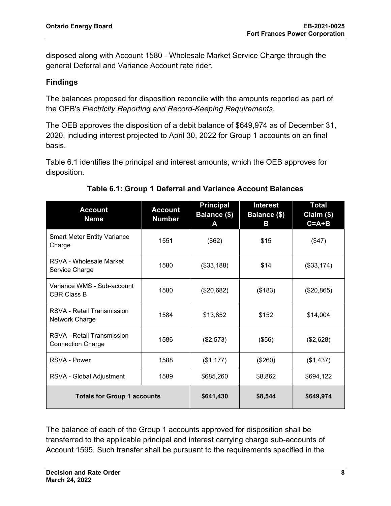disposed along with Account 1580 - Wholesale Market Service Charge through the general Deferral and Variance Account rate rider.

### **Findings**

The balances proposed for disposition reconcile with the amounts reported as part of the OEB's *Electricity Reporting and Record-Keeping Requirements.*

The OEB approves the disposition of a debit balance of \$649,974 as of December 31, 2020, including interest projected to April 30, 2022 for Group 1 accounts on an final basis.

Table 6.1 identifies the principal and interest amounts, which the OEB approves for disposition.

| <b>Account</b><br><b>Name</b>                          | <b>Account</b><br><b>Number</b> | <b>Principal</b><br>Balance (\$)<br>A | <b>Interest</b><br>Balance (\$)<br>B | <b>Total</b><br>Claim (\$)<br>$C = A + B$ |
|--------------------------------------------------------|---------------------------------|---------------------------------------|--------------------------------------|-------------------------------------------|
| <b>Smart Meter Entity Variance</b><br>Charge           | 1551                            | (\$62)                                | \$15                                 | (\$47)                                    |
| RSVA - Wholesale Market<br>Service Charge              | 1580                            | (\$33,188)                            | \$14                                 | (\$33,174)                                |
| Variance WMS - Sub-account<br><b>CBR Class B</b>       | 1580                            | (\$20,682)                            | (\$183)                              | (\$20,865)                                |
| RSVA - Retail Transmission<br>Network Charge           | 1584                            | \$13,852                              | \$152                                | \$14,004                                  |
| RSVA - Retail Transmission<br><b>Connection Charge</b> | 1586                            | (\$2,573)                             | (\$56)                               | (\$2,628)                                 |
| RSVA - Power                                           | 1588                            | (\$1,177)                             | (\$260)                              | (\$1,437)                                 |
| RSVA - Global Adjustment                               | 1589                            | \$685,260                             | \$8,862                              | \$694,122                                 |
| <b>Totals for Group 1 accounts</b>                     |                                 | \$641,430                             | \$8,544                              | \$649,974                                 |

### **Table 6.1: Group 1 Deferral and Variance Account Balances**

The balance of each of the Group 1 accounts approved for disposition shall be transferred to the applicable principal and interest carrying charge sub-accounts of Account 1595. Such transfer shall be pursuant to the requirements specified in the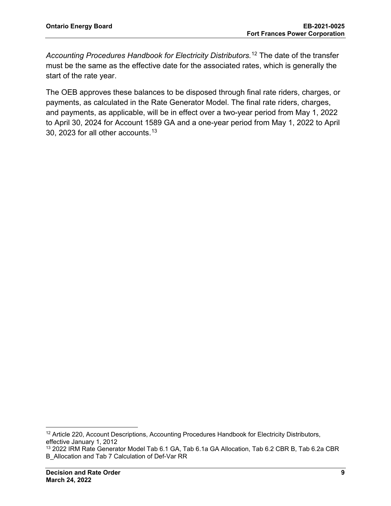*Accounting Procedures Handbook for Electricity Distributors.*<sup>12</sup> The date of the transfer must be the same as the effective date for the associated rates, which is generally the start of the rate year.

The OEB approves these balances to be disposed through final rate riders, charges, or payments, as calculated in the Rate Generator Model. The final rate riders, charges, and payments, as applicable, will be in effect over a two-year period from May 1, 2022 to April 30, 2024 for Account 1589 GA and a one-year period from May 1, 2022 to April 30, 2023 for all other accounts. $^{13}$ 

<sup>&</sup>lt;sup>12</sup> Article 220, Account Descriptions, Accounting Procedures Handbook for Electricity Distributors, effective January 1, 2012

<sup>13</sup> 2022 IRM Rate Generator Model Tab 6.1 GA, Tab 6.1a GA Allocation, Tab 6.2 CBR B, Tab 6.2a CBR B\_Allocation and Tab 7 Calculation of Def-Var RR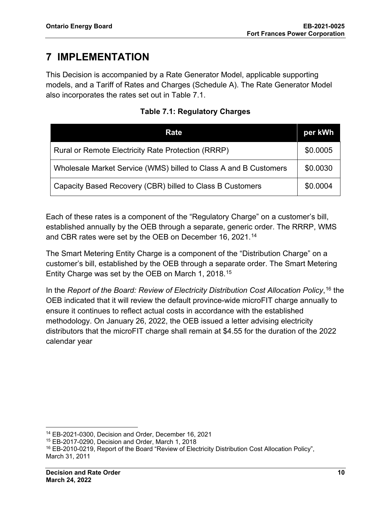## **7 IMPLEMENTATION**

This Decision is accompanied by a Rate Generator Model, applicable supporting models, and a Tariff of Rates and Charges (Schedule A). The Rate Generator Model also incorporates the rates set out in Table 7.1.

|  | <b>Table 7.1: Regulatory Charges</b> |
|--|--------------------------------------|
|  |                                      |

| Rate                                                             | per kWh  |
|------------------------------------------------------------------|----------|
| Rural or Remote Electricity Rate Protection (RRRP)               | \$0.0005 |
| Wholesale Market Service (WMS) billed to Class A and B Customers | \$0.0030 |
| Capacity Based Recovery (CBR) billed to Class B Customers        | \$0.0004 |

Each of these rates is a component of the "Regulatory Charge" on a customer's bill, established annually by the OEB through a separate, generic order. The RRRP, WMS and CBR rates were set by the OEB on December 16, 2021. 14

The Smart Metering Entity Charge is a component of the "Distribution Charge" on a customer's bill, established by the OEB through a separate order. The Smart Metering Entity Charge was set by the OEB on March 1, 2018.15

In the *Report of the Board: Review of Electricity Distribution Cost Allocation Policy*, <sup>16</sup> the OEB indicated that it will review the default province-wide microFIT charge annually to ensure it continues to reflect actual costs in accordance with the established methodology. On January 26, 2022, the OEB issued a letter advising electricity distributors that the microFIT charge shall remain at \$4.55 for the duration of the 2022 calendar year

<sup>15</sup> EB-2017-0290, Decision and Order, March 1, 2018

<sup>14</sup> EB-2021-0300, Decision and Order, December 16, 2021

<sup>&</sup>lt;sup>16</sup> EB-2010-0219, Report of the Board "Review of Electricity Distribution Cost Allocation Policy", March 31, 2011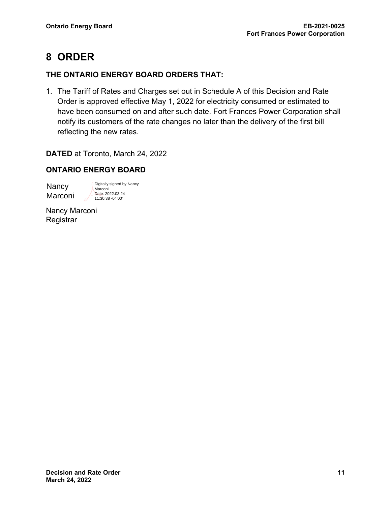## **8 ORDER**

### **THE ONTARIO ENERGY BOARD ORDERS THAT:**

1. The Tariff of Rates and Charges set out in Schedule A of this Decision and Rate Order is approved effective May 1, 2022 for electricity consumed or estimated to have been consumed on and after such date. Fort Frances Power Corporation shall notify its customers of the rate changes no later than the delivery of the first bill reflecting the new rates.

**DATED** at Toronto, March 24, 2022

### **ONTARIO ENERGY BOARD**

Nancy Marconi Digitally signed by Nancy Marconi Date: 2022.03.24 11:30:38 -04'00'

Nancy Marconi **Registrar**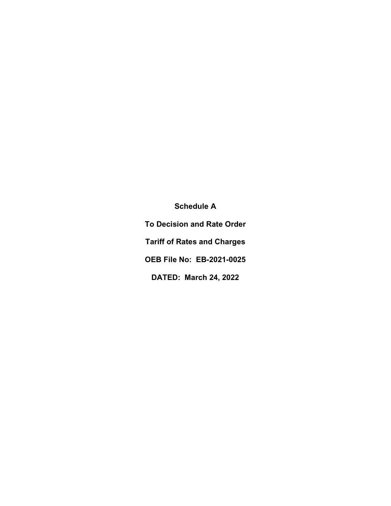**Schedule A To Decision and Rate Order Tariff of Rates and Charges OEB File No: EB-2021-0025 DATED: March 24, 2022**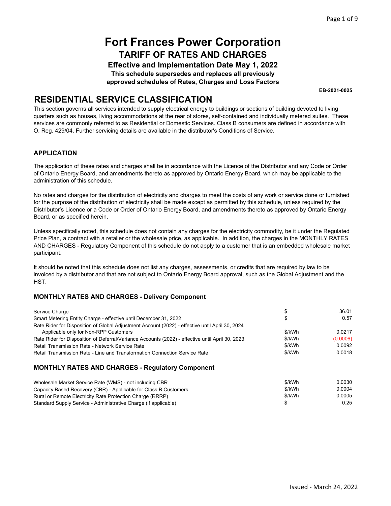**Effective and Implementation Date May 1, 2022 This schedule supersedes and replaces all previously** 

**approved schedules of Rates, Charges and Loss Factors** 

**EB-2021-0025** 

### **RESIDENTIAL SERVICE CLASSIFICATION**

This section governs all services intended to supply electrical energy to buildings or sections of building devoted to living quarters such as houses, living accommodations at the rear of stores, self-contained and individually metered suites. These services are commonly referred to as Residential or Domestic Services. Class B consumers are defined in accordance with O. Reg. 429/04. Further servicing details are available in the distributor's Conditions of Service.

#### **APPLICATION**

The application of these rates and charges shall be in accordance with the Licence of the Distributor and any Code or Order of Ontario Energy Board, and amendments thereto as approved by Ontario Energy Board, which may be applicable to the administration of this schedule.

No rates and charges for the distribution of electricity and charges to meet the costs of any work or service done or furnished for the purpose of the distribution of electricity shall be made except as permitted by this schedule, unless required by the Distributor's Licence or a Code or Order of Ontario Energy Board, and amendments thereto as approved by Ontario Energy Board, or as specified herein.

Unless specifically noted, this schedule does not contain any charges for the electricity commodity, be it under the Regulated Price Plan, a contract with a retailer or the wholesale price, as applicable. In addition, the charges in the MONTHLY RATES AND CHARGES - Regulatory Component of this schedule do not apply to a customer that is an embedded wholesale market participant.

It should be noted that this schedule does not list any charges, assessments, or credits that are required by law to be invoiced by a distributor and that are not subject to Ontario Energy Board approval, such as the Global Adjustment and the HST.

#### **MONTHLY RATES AND CHARGES - Delivery Component**

| Service Charge                                                                                   |        | 36.01    |  |
|--------------------------------------------------------------------------------------------------|--------|----------|--|
| Smart Metering Entity Charge - effective until December 31, 2022                                 |        | 0.57     |  |
| Rate Rider for Disposition of Global Adjustment Account (2022) - effective until April 30, 2024  |        |          |  |
| Applicable only for Non-RPP Customers                                                            | \$/kWh | 0.0217   |  |
| Rate Rider for Disposition of Deferral/Variance Accounts (2022) - effective until April 30, 2023 | \$/kWh | (0.0006) |  |
| Retail Transmission Rate - Network Service Rate                                                  | \$/kWh | 0.0092   |  |
| Retail Transmission Rate - Line and Transformation Connection Service Rate                       | \$/kWh | 0.0018   |  |
|                                                                                                  |        |          |  |

#### **MONTHLY RATES AND CHARGES - Regulatory Component**

| Wholesale Market Service Rate (WMS) - not including CBR          | \$/kWh | 0.0030 |
|------------------------------------------------------------------|--------|--------|
| Capacity Based Recovery (CBR) - Applicable for Class B Customers | \$/kWh | 0.0004 |
| Rural or Remote Electricity Rate Protection Charge (RRRP)        | \$/kWh | 0.0005 |
| Standard Supply Service - Administrative Charge (if applicable)  |        | 0.25   |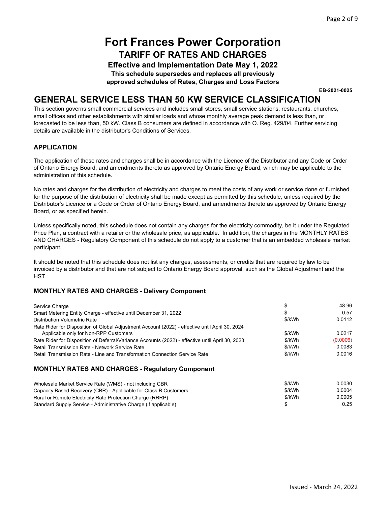**Effective and Implementation Date May 1, 2022** 

**This schedule supersedes and replaces all previously** 

**approved schedules of Rates, Charges and Loss Factors** 

**EB-2021-0025** 

### **GENERAL SERVICE LESS THAN 50 KW SERVICE CLASSIFICATION**

This section governs small commercial services and includes small stores, small service stations, restaurants, churches, small offices and other establishments with similar loads and whose monthly average peak demand is less than, or forecasted to be less than, 50 kW. Class B consumers are defined in accordance with O. Reg. 429/04. Further servicing details are available in the distributor's Conditions of Services.

#### **APPLICATION**

The application of these rates and charges shall be in accordance with the Licence of the Distributor and any Code or Order of Ontario Energy Board, and amendments thereto as approved by Ontario Energy Board, which may be applicable to the administration of this schedule.

No rates and charges for the distribution of electricity and charges to meet the costs of any work or service done or furnished for the purpose of the distribution of electricity shall be made except as permitted by this schedule, unless required by the Distributor's Licence or a Code or Order of Ontario Energy Board, and amendments thereto as approved by Ontario Energy Board, or as specified herein.

Unless specifically noted, this schedule does not contain any charges for the electricity commodity, be it under the Regulated Price Plan, a contract with a retailer or the wholesale price, as applicable. In addition, the charges in the MONTHLY RATES AND CHARGES - Regulatory Component of this schedule do not apply to a customer that is an embedded wholesale market participant.

It should be noted that this schedule does not list any charges, assessments, or credits that are required by law to be invoiced by a distributor and that are not subject to Ontario Energy Board approval, such as the Global Adjustment and the HST.

#### **MONTHLY RATES AND CHARGES - Delivery Component**

| Service Charge                                                                                   | \$     | 48.96    |  |
|--------------------------------------------------------------------------------------------------|--------|----------|--|
| Smart Metering Entity Charge - effective until December 31, 2022                                 | จ      | 0.57     |  |
| Distribution Volumetric Rate                                                                     | \$/kWh | 0.0112   |  |
| Rate Rider for Disposition of Global Adjustment Account (2022) - effective until April 30, 2024  |        |          |  |
| Applicable only for Non-RPP Customers                                                            | \$/kWh | 0.0217   |  |
| Rate Rider for Disposition of Deferral/Variance Accounts (2022) - effective until April 30, 2023 | \$/kWh | (0.0006) |  |
| Retail Transmission Rate - Network Service Rate                                                  | \$/kWh | 0.0083   |  |
| Retail Transmission Rate - Line and Transformation Connection Service Rate                       | \$/kWh | 0.0016   |  |
|                                                                                                  |        |          |  |

#### **MONTHLY RATES AND CHARGES - Regulatory Component**

| Wholesale Market Service Rate (WMS) - not including CBR          | \$/kWh | 0.0030 |
|------------------------------------------------------------------|--------|--------|
| Capacity Based Recovery (CBR) - Applicable for Class B Customers | \$/kWh | 0.0004 |
| Rural or Remote Electricity Rate Protection Charge (RRRP)        | \$/kWh | 0.0005 |
| Standard Supply Service - Administrative Charge (if applicable)  |        | 0.25   |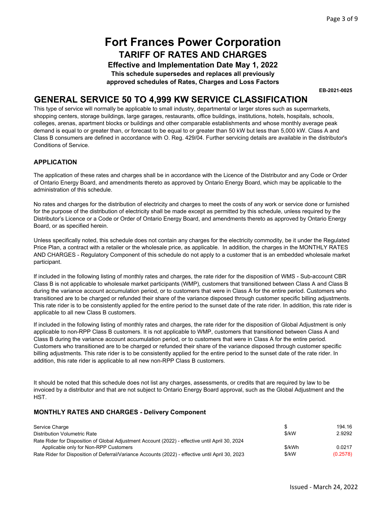**Effective and Implementation Date May 1, 2022 This schedule supersedes and replaces all previously** 

**approved schedules of Rates, Charges and Loss Factors** 

**EB-2021-0025** 

### **GENERAL SERVICE 50 TO 4,999 KW SERVICE CLASSIFICATION**

This type of service will normally be applicable to small industry, departmental or larger stores such as supermarkets, shopping centers, storage buildings, large garages, restaurants, office buildings, institutions, hotels, hospitals, schools, colleges, arenas, apartment blocks or buildings and other comparable establishments and whose monthly average peak demand is equal to or greater than, or forecast to be equal to or greater than 50 kW but less than 5,000 kW. Class A and Class B consumers are defined in accordance with O. Reg. 429/04. Further servicing details are available in the distributor's Conditions of Service.

#### **APPLICATION**

The application of these rates and charges shall be in accordance with the Licence of the Distributor and any Code or Order of Ontario Energy Board, and amendments thereto as approved by Ontario Energy Board, which may be applicable to the administration of this schedule.

No rates and charges for the distribution of electricity and charges to meet the costs of any work or service done or furnished for the purpose of the distribution of electricity shall be made except as permitted by this schedule, unless required by the Distributor's Licence or a Code or Order of Ontario Energy Board, and amendments thereto as approved by Ontario Energy Board, or as specified herein.

Unless specifically noted, this schedule does not contain any charges for the electricity commodity, be it under the Regulated Price Plan, a contract with a retailer or the wholesale price, as applicable. In addition, the charges in the MONTHLY RATES AND CHARGES - Regulatory Component of this schedule do not apply to a customer that is an embedded wholesale market participant.

If included in the following listing of monthly rates and charges, the rate rider for the disposition of WMS - Sub-account CBR Class B is not applicable to wholesale market participants (WMP), customers that transitioned between Class A and Class B during the variance account accumulation period, or to customers that were in Class A for the entire period. Customers who transitioned are to be charged or refunded their share of the variance disposed through customer specific billing adjustments. This rate rider is to be consistently applied for the entire period to the sunset date of the rate rider. In addition, this rate rider is applicable to all new Class B customers.

If included in the following listing of monthly rates and charges, the rate rider for the disposition of Global Adjustment is only applicable to non-RPP Class B customers. It is not applicable to WMP, customers that transitioned between Class A and Class B during the variance account accumulation period, or to customers that were in Class A for the entire period. Customers who transitioned are to be charged or refunded their share of the variance disposed through customer specific billing adjustments. This rate rider is to be consistently applied for the entire period to the sunset date of the rate rider. In addition, this rate rider is applicable to all new non-RPP Class B customers.

It should be noted that this schedule does not list any charges, assessments, or credits that are required by law to be invoiced by a distributor and that are not subject to Ontario Energy Board approval, such as the Global Adjustment and the HST.

#### **MONTHLY RATES AND CHARGES - Delivery Component**

| Service Charge                                                                                   |         | 194.16   |
|--------------------------------------------------------------------------------------------------|---------|----------|
| Distribution Volumetric Rate                                                                     | $$$ /kW | 2.9292   |
| Rate Rider for Disposition of Global Adjustment Account (2022) - effective until April 30, 2024  |         |          |
| Applicable only for Non-RPP Customers                                                            | \$/kWh  | 0.0217   |
| Rate Rider for Disposition of Deferral/Variance Accounts (2022) - effective until April 30, 2023 | \$/kW   | (0.2578) |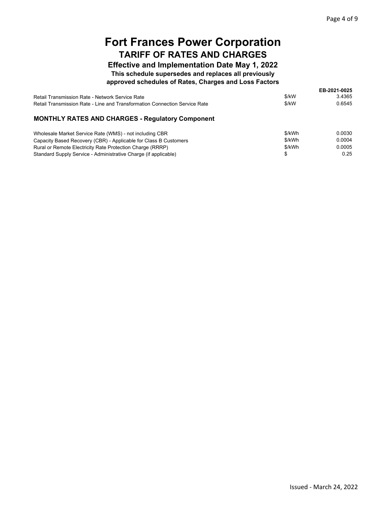0.0005 0.25

\$/kWh \$

## **Fort Frances Power Corporation TARIFF OF RATES AND CHARGES**

### **Effective and Implementation Date May 1, 2022**

### **This schedule supersedes and replaces all previously**

#### **approved schedules of Rates, Charges and Loss Factors**

|                                                                            |        | EB-2021-0025 |
|----------------------------------------------------------------------------|--------|--------------|
| Retail Transmission Rate - Network Service Rate                            | \$/kW  | 3.4365       |
| Retail Transmission Rate - Line and Transformation Connection Service Rate | \$/kW  | 0.6545       |
| <b>MONTHLY RATES AND CHARGES - Regulatory Component</b>                    |        |              |
| Wholesale Market Service Rate (WMS) - not including CBR                    | \$/kWh | 0.0030       |
| Capacity Based Recovery (CBR) - Applicable for Class B Customers           | \$/kWh | 0.0004       |

Rural or Remote Electricity Rate Protection Charge (RRRP) Standard Supply Service - Administrative Charge (if applicable)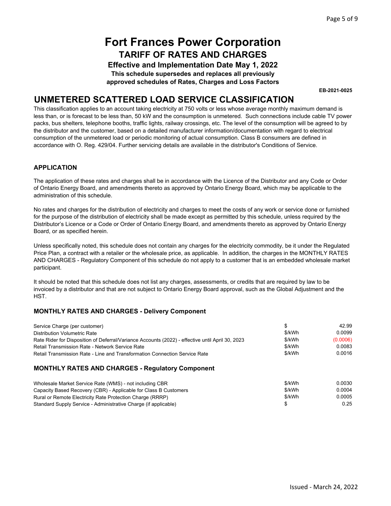**Effective and Implementation Date May 1, 2022** 

**This schedule supersedes and replaces all previously** 

**approved schedules of Rates, Charges and Loss Factors** 

**EB-2021-0025** 

### **UNMETERED SCATTERED LOAD SERVICE CLASSIFICATION**

This classification applies to an account taking electricity at 750 volts or less whose average monthly maximum demand is less than, or is forecast to be less than, 50 kW and the consumption is unmetered. Such connections include cable TV power packs, bus shelters, telephone booths, traffic lights, railway crossings, etc. The level of the consumption will be agreed to by the distributor and the customer, based on a detailed manufacturer information/documentation with regard to electrical consumption of the unmetered load or periodic monitoring of actual consumption. Class B consumers are defined in accordance with O. Reg. 429/04. Further servicing details are available in the distributor's Conditions of Service.

#### **APPLICATION**

The application of these rates and charges shall be in accordance with the Licence of the Distributor and any Code or Order of Ontario Energy Board, and amendments thereto as approved by Ontario Energy Board, which may be applicable to the administration of this schedule.

No rates and charges for the distribution of electricity and charges to meet the costs of any work or service done or furnished for the purpose of the distribution of electricity shall be made except as permitted by this schedule, unless required by the Distributor's Licence or a Code or Order of Ontario Energy Board, and amendments thereto as approved by Ontario Energy Board, or as specified herein.

Unless specifically noted, this schedule does not contain any charges for the electricity commodity, be it under the Regulated Price Plan, a contract with a retailer or the wholesale price, as applicable. In addition, the charges in the MONTHLY RATES AND CHARGES - Regulatory Component of this schedule do not apply to a customer that is an embedded wholesale market participant.

It should be noted that this schedule does not list any charges, assessments, or credits that are required by law to be invoiced by a distributor and that are not subject to Ontario Energy Board approval, such as the Global Adjustment and the HST.

#### **MONTHLY RATES AND CHARGES - Delivery Component**

| Service Charge (per customer)                                                                    |        | 42.99    |
|--------------------------------------------------------------------------------------------------|--------|----------|
| Distribution Volumetric Rate                                                                     | \$/kWh | 0.0099   |
| Rate Rider for Disposition of Deferral/Variance Accounts (2022) - effective until April 30, 2023 | \$/kWh | (0.0006) |
| Retail Transmission Rate - Network Service Rate                                                  | \$/kWh | 0.0083   |
| Retail Transmission Rate - Line and Transformation Connection Service Rate                       | \$/kWh | 0.0016   |
|                                                                                                  |        |          |

#### **MONTHLY RATES AND CHARGES - Regulatory Component**

| Wholesale Market Service Rate (WMS) - not including CBR          | \$/kWh | 0.0030 |
|------------------------------------------------------------------|--------|--------|
| Capacity Based Recovery (CBR) - Applicable for Class B Customers | \$/kWh | 0.0004 |
| Rural or Remote Electricity Rate Protection Charge (RRRP)        | \$/kWh | 0.0005 |
| Standard Supply Service - Administrative Charge (if applicable)  |        | 0.25   |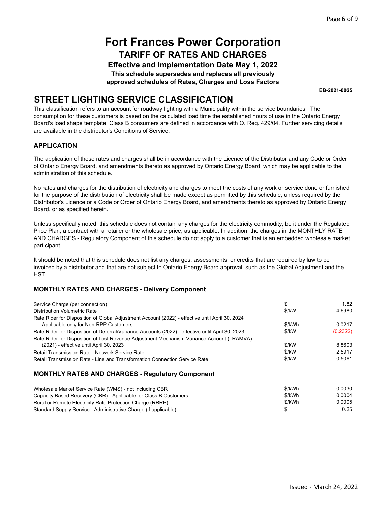**Effective and Implementation Date May 1, 2022** 

**This schedule supersedes and replaces all previously** 

**approved schedules of Rates, Charges and Loss Factors** 

**EB-2021-0025** 

## **STREET LIGHTING SERVICE CLASSIFICATION**

This classification refers to an account for roadway lighting with a Municipality within the service boundaries. The consumption for these customers is based on the calculated load time the established hours of use in the Ontario Energy Board's load shape template. Class B consumers are defined in accordance with O. Reg. 429/04. Further servicing details are available in the distributor's Conditions of Service.

#### **APPLICATION**

The application of these rates and charges shall be in accordance with the Licence of the Distributor and any Code or Order of Ontario Energy Board, and amendments thereto as approved by Ontario Energy Board, which may be applicable to the administration of this schedule.

No rates and charges for the distribution of electricity and charges to meet the costs of any work or service done or furnished for the purpose of the distribution of electricity shall be made except as permitted by this schedule, unless required by the Distributor's Licence or a Code or Order of Ontario Energy Board, and amendments thereto as approved by Ontario Energy Board, or as specified herein.

Unless specifically noted, this schedule does not contain any charges for the electricity commodity, be it under the Regulated Price Plan, a contract with a retailer or the wholesale price, as applicable. In addition, the charges in the MONTHLY RATE AND CHARGES - Regulatory Component of this schedule do not apply to a customer that is an embedded wholesale market participant.

It should be noted that this schedule does not list any charges, assessments, or credits that are required by law to be invoiced by a distributor and that are not subject to Ontario Energy Board approval, such as the Global Adjustment and the HST.

#### **MONTHLY RATES AND CHARGES - Delivery Component**

| Service Charge (per connection)                                                                  | \$     | 1.82     |  |
|--------------------------------------------------------------------------------------------------|--------|----------|--|
| Distribution Volumetric Rate                                                                     | \$/kW  | 4.6980   |  |
| Rate Rider for Disposition of Global Adjustment Account (2022) - effective until April 30, 2024  |        |          |  |
| Applicable only for Non-RPP Customers                                                            | \$/kWh | 0.0217   |  |
| Rate Rider for Disposition of Deferral/Variance Accounts (2022) - effective until April 30, 2023 | \$/kW  | (0.2322) |  |
| Rate Rider for Disposition of Lost Revenue Adjustment Mechanism Variance Account (LRAMVA)        |        |          |  |
| (2021) - effective until April 30, 2023                                                          | \$/kW  | 8.8603   |  |
| <b>Retail Transmission Rate - Network Service Rate</b>                                           | \$/kW  | 2.5917   |  |
| Retail Transmission Rate - Line and Transformation Connection Service Rate                       | \$/kW  | 0.5061   |  |

#### **MONTHLY RATES AND CHARGES - Regulatory Component**

| Wholesale Market Service Rate (WMS) - not including CBR          | \$/kWh | 0.0030 |
|------------------------------------------------------------------|--------|--------|
| Capacity Based Recovery (CBR) - Applicable for Class B Customers | \$/kWh | 0.0004 |
| Rural or Remote Electricity Rate Protection Charge (RRRP)        | \$/kWh | 0.0005 |
| Standard Supply Service - Administrative Charge (if applicable)  |        | 0.25   |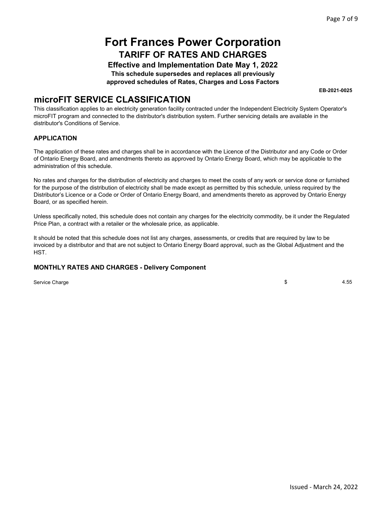**Effective and Implementation Date May 1, 2022** 

**This schedule supersedes and replaces all previously** 

**approved schedules of Rates, Charges and Loss Factors** 

**EB-2021-0025** 

### **microFIT SERVICE CLASSIFICATION**

This classification applies to an electricity generation facility contracted under the Independent Electricity System Operator's microFIT program and connected to the distributor's distribution system. Further servicing details are available in the distributor's Conditions of Service.

#### **APPLICATION**

The application of these rates and charges shall be in accordance with the Licence of the Distributor and any Code or Order of Ontario Energy Board, and amendments thereto as approved by Ontario Energy Board, which may be applicable to the administration of this schedule.

No rates and charges for the distribution of electricity and charges to meet the costs of any work or service done or furnished for the purpose of the distribution of electricity shall be made except as permitted by this schedule, unless required by the Distributor's Licence or a Code or Order of Ontario Energy Board, and amendments thereto as approved by Ontario Energy Board, or as specified herein.

Unless specifically noted, this schedule does not contain any charges for the electricity commodity, be it under the Regulated Price Plan, a contract with a retailer or the wholesale price, as applicable.

It should be noted that this schedule does not list any charges, assessments, or credits that are required by law to be invoiced by a distributor and that are not subject to Ontario Energy Board approval, such as the Global Adjustment and the HST.

#### **MONTHLY RATES AND CHARGES - Delivery Component**

Service Charge  $\sim$  4.55  $\sim$  4.55  $\sim$  4.55  $\sim$  4.55  $\sim$  4.55  $\sim$  4.55  $\sim$  4.55  $\sim$  4.55  $\sim$  4.55  $\sim$  4.55  $\sim$  4.55  $\sim$  4.55  $\sim$  4.55  $\sim$  4.55  $\sim$  4.55  $\sim$  4.55  $\sim$  4.55  $\sim$  4.55  $\sim$  4.55  $\sim$  4.55  $\sim$  4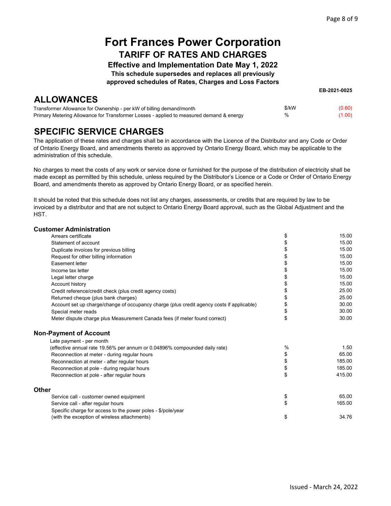**EB-2021-0025** 

## **Fort Frances Power Corporation TARIFF OF RATES AND CHARGES**

**Effective and Implementation Date May 1, 2022** 

**This schedule supersedes and replaces all previously** 

**approved schedules of Rates, Charges and Loss Factors** 

### **ALLOWANCES**

| ___________                                                                             |       |        |
|-----------------------------------------------------------------------------------------|-------|--------|
| Transformer Allowance for Ownership - per kW of billing demand/month                    | \$/kW | (0.60) |
| Primary Metering Allowance for Transformer Losses - applied to measured demand & energy | %     | (1.00) |

### **SPECIFIC SERVICE CHARGES**

The application of these rates and charges shall be in accordance with the Licence of the Distributor and any Code or Order of Ontario Energy Board, and amendments thereto as approved by Ontario Energy Board, which may be applicable to the administration of this schedule.

No charges to meet the costs of any work or service done or furnished for the purpose of the distribution of electricity shall be made except as permitted by this schedule, unless required by the Distributor's Licence or a Code or Order of Ontario Energy Board, and amendments thereto as approved by Ontario Energy Board, or as specified herein.

It should be noted that this schedule does not list any charges, assessments, or credits that are required by law to be invoiced by a distributor and that are not subject to Ontario Energy Board approval, such as the Global Adjustment and the HST.

#### **Customer Administration**

|              | Arrears certificate                                                                       | \$ | 15.00  |
|--------------|-------------------------------------------------------------------------------------------|----|--------|
|              | Statement of account                                                                      | \$ | 15.00  |
|              | Duplicate invoices for previous billing                                                   | \$ | 15.00  |
|              | Request for other billing information                                                     | \$ | 15.00  |
|              | Easement letter                                                                           | \$ | 15.00  |
|              | Income tax letter                                                                         | \$ | 15.00  |
|              | Legal letter charge                                                                       | \$ | 15.00  |
|              | Account history                                                                           | \$ | 15.00  |
|              | Credit reference/credit check (plus credit agency costs)                                  | \$ | 25.00  |
|              | Returned cheque (plus bank charges)                                                       | \$ | 25.00  |
|              | Account set up charge/change of occupancy charge (plus credit agency costs if applicable) | \$ | 30.00  |
|              | Special meter reads                                                                       | \$ | 30.00  |
|              | Meter dispute charge plus Measurement Canada fees (if meter found correct)                | \$ | 30.00  |
|              | <b>Non-Payment of Account</b>                                                             |    |        |
|              | Late payment - per month                                                                  |    |        |
|              | (effective annual rate 19.56% per annum or 0.04896% compounded daily rate)                | %  | 1.50   |
|              | Reconnection at meter - during regular hours                                              | \$ | 65.00  |
|              | Reconnection at meter - after regular hours                                               | \$ | 185.00 |
|              | Reconnection at pole - during regular hours                                               | \$ | 185.00 |
|              | Reconnection at pole - after regular hours                                                | \$ | 415.00 |
| <b>Other</b> |                                                                                           |    |        |
|              | Service call - customer owned equipment                                                   | \$ | 65.00  |
|              | Service call - after regular hours                                                        | \$ | 165.00 |
|              | Specific charge for access to the power poles - \$/pole/year                              |    |        |
|              | (with the exception of wireless attachments)                                              | \$ | 34.76  |
|              |                                                                                           |    |        |